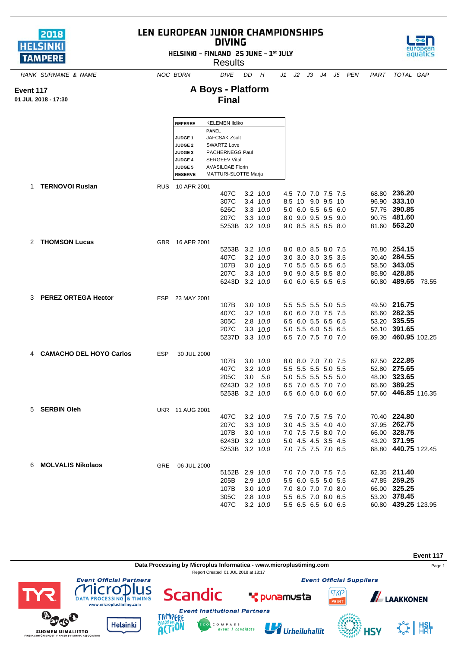

**Event 117 01 JUL 2018 - 17:30**

## LEN EUROPEAN JUNIOR CHAMPIONSHIPS **DIVING**

HELSINKI - FINLAND 25 JUNE - 1st JULY

**Results** 



*RANK SURNAME & NAME NOC BORN DIVE DD H J1 J2 J3 J4 J5 PEN PART TOTAL GAP*

## **A Boys - Platform Final**

|   |                                |            | <b>REFEREE</b>         | <b>KELEMEN Ildiko</b>   |     |                          |        |                                            |  |                       |
|---|--------------------------------|------------|------------------------|-------------------------|-----|--------------------------|--------|--------------------------------------------|--|-----------------------|
|   |                                |            |                        | <b>PANEL</b>            |     |                          |        |                                            |  |                       |
|   |                                |            | JUDGE <sub>1</sub>     | <b>JAFCSAK Zsolt</b>    |     |                          |        |                                            |  |                       |
|   |                                |            | <b>JUDGE 2</b>         | <b>SWARTZ Love</b>      |     |                          |        |                                            |  |                       |
|   |                                |            | JUDGE 3                | PACHERNEGG Paul         |     |                          |        |                                            |  |                       |
|   |                                |            | <b>JUDGE 4</b>         | <b>SERGEEV Vitali</b>   |     |                          |        |                                            |  |                       |
|   |                                |            | <b>JUDGE 5</b>         | <b>AVASILOAE Florin</b> |     |                          |        |                                            |  |                       |
|   |                                |            | <b>RESERVE</b>         | MATTURI-SLOTTE Marja    |     |                          |        |                                            |  |                       |
|   |                                |            |                        |                         |     |                          |        |                                            |  |                       |
| 1 | <b>TERNOVOI Ruslan</b>         | <b>RUS</b> | 10 APR 2001            | 407C                    |     | $3.2 \quad 10.0$         |        | 4.5 7.0 7.0 7.5 7.5                        |  | 68.80 236.20          |
|   |                                |            |                        | 307C                    |     | 3.4 10.0                 | 8.5 10 | 9.0 9.5 10                                 |  | 96.90 333.10          |
|   |                                |            |                        | 626C                    |     | $3.3$ $10.0$             |        | 5.0 6.0 5.5 6.5 6.0                        |  | 57.75 390.85          |
|   |                                |            |                        | 207C                    |     | $3.3$ $10.0$             |        | 8.0 9.0 9.5 9.5 9.0                        |  | 90.75 481.60          |
|   |                                |            |                        | 5253B 3.2 10.0          |     |                          |        | 9.0 8.5 8.5 8.5 8.0                        |  | 81.60 563.20          |
|   |                                |            |                        |                         |     |                          |        |                                            |  |                       |
|   | <b>THOMSON Lucas</b>           |            |                        |                         |     |                          |        |                                            |  |                       |
| 2 |                                |            | GBR 16 APR 2001        | 5253B                   |     | $3.2 \quad 10.0$         |        | 8.0 8.0 8.5 8.0 7.5                        |  | 76.80 254.15          |
|   |                                |            |                        | 407C                    |     | $3.2$ $10.0$             |        | 3.0 3.0 3.0 3.5 3.5                        |  | 30.40 284.55          |
|   |                                |            |                        | 107B                    |     |                          |        |                                            |  | 58.50 343.05          |
|   |                                |            |                        | 207C                    |     | 3.0 10.0<br>$3.3$ $10.0$ |        | 7.0 5.5 6.5 6.5 6.5<br>9.0 9.0 8.5 8.5 8.0 |  | 85.80 428.85          |
|   |                                |            |                        | 6243D 3.2 10.0          |     |                          |        | 6.0 6.0 6.5 6.5 6.5                        |  | 60.80 489.65<br>73.55 |
|   |                                |            |                        |                         |     |                          |        |                                            |  |                       |
|   |                                |            |                        |                         |     |                          |        |                                            |  |                       |
| 3 | <b>PEREZ ORTEGA Hector</b>     | <b>ESP</b> | 23 MAY 2001            | 107B                    |     | $3.0$ $10.0$             |        | 5.5 5.5 5.5 5.0 5.5                        |  | 49.50 216.75          |
|   |                                |            |                        | 407C                    |     | 3.2 10.0                 |        | 6.0 6.0 7.0 7.5 7.5                        |  | 65.60 282.35          |
|   |                                |            |                        | 305C                    |     |                          |        | 6.5 6.0 5.5 6.5 6.5                        |  | 53.20 335.55          |
|   |                                |            |                        | 207C                    |     | 2.8 10.0<br>$3.3$ $10.0$ |        | 5.0 5.5 6.0 5.5 6.5                        |  | 56.10 391.65          |
|   |                                |            |                        |                         |     |                          |        |                                            |  |                       |
|   |                                |            |                        | 5237D 3.3 10.0          |     |                          |        | 6.5 7.0 7.5 7.0 7.0                        |  | 69.30 460.95 102.25   |
|   |                                |            |                        |                         |     |                          |        |                                            |  |                       |
|   | <b>CAMACHO DEL HOYO Carlos</b> | <b>ESP</b> | 30 JUL 2000            | 107B                    |     | $3.0$ $10.0$             |        | 8.0 8.0 7.0 7.0 7.5                        |  | 67.50 222.85          |
|   |                                |            |                        | 407C                    |     | $3.2$ $10.0$             |        | 5.5 5.5 5.5 5.0 5.5                        |  | 52.80 275.65          |
|   |                                |            |                        | 205C                    | 3.0 | 5.0                      |        | 5.0 5.5 5.5 5.5 5.0                        |  | 48.00 323.65          |
|   |                                |            |                        | 6243D                   |     | $3.2$ 10.0               |        | 6.5 7.0 6.5 7.0 7.0                        |  | 65.60 389.25          |
|   |                                |            |                        | 5253B                   |     | $3.2 \quad 10.0$         |        | 6.5 6.0 6.0 6.0 6.0                        |  | 57.60 446.85 116.35   |
|   |                                |            |                        |                         |     |                          |        |                                            |  |                       |
| 5 | <b>SERBIN Oleh</b>             |            |                        |                         |     |                          |        |                                            |  |                       |
|   |                                |            | <b>UKR 11 AUG 2001</b> | 407C                    |     | 3.2 10.0                 |        | 7.5 7.0 7.5 7.5 7.0                        |  | 70.40 224.80          |
|   |                                |            |                        | 207C                    |     | $3.3$ $10.0$             |        | 3.0 4.5 3.5 4.0 4.0                        |  | 37.95 262.75          |
|   |                                |            |                        | 107B                    |     | $3.0$ $10.0$             |        | 7.0 7.5 7.5 8.0 7.0                        |  | 66.00 328.75          |
|   |                                |            |                        | 6243D                   |     | $3.2$ $10.0$             |        | 5.0 4.5 4.5 3.5 4.5                        |  | 43.20 371.95          |
|   |                                |            |                        | 5253B 3.2 10.0          |     |                          |        | 7.0 7.5 7.5 7.0 6.5                        |  | 68.80 440.75 122.45   |
|   |                                |            |                        |                         |     |                          |        |                                            |  |                       |
| 6 | <b>MOLVALIS Nikolaos</b>       | <b>GRE</b> |                        |                         |     |                          |        |                                            |  |                       |
|   |                                |            | 06 JUL 2000            | 5152B                   |     | $2.9$ $10.0$             |        | 7.0 7.0 7.0 7.5 7.5                        |  | 62.35 211.40          |
|   |                                |            |                        | 205B                    |     | 2.9 10.0                 |        | 5.5 6.0 5.5 5.0 5.5                        |  | 47.85 259.25          |
|   |                                |            |                        | 107B                    |     | $3.0$ $10.0$             |        | 7.0 8.0 7.0 7.0 8.0                        |  | 66.00 325.25          |
|   |                                |            |                        | 305C                    |     | 2.8 10.0                 |        | 5.5 6.5 7.0 6.0 6.5                        |  | 53.20 378.45          |
|   |                                |            |                        | 407C                    |     | $3.2$ $10.0$             |        | 5.5 6.5 6.5 6.0 6.5                        |  | 60.80 439.25 123.95   |
|   |                                |            |                        |                         |     |                          |        |                                            |  |                       |

**Event 117 Data Processing by Microplus Informatica - www.microplustiming.com** Page 1 Report Created 01 JUL 2018 at 18:17**Event Official Suppliers Event Official Partners** lus cro Scandic **TKP** LAAKKONEN **T** punamusta DATA PROCESSING & TIMING RINT www.microplustiming.com **Event Institutional Partners** TAMP ERE  $\sigma$ **Helsinki**  $\mathcal{L}_\mathcal{F}$   $\parallel$   $\mathsf{H}_{\mathsf{R}\mathsf{T}}^{\mathsf{SL}}$ C O M P A S S<br>event | candidate

Urheiluhallit

**HSY** 

**ACTION** 

**SUOMEN UIMALIITTO**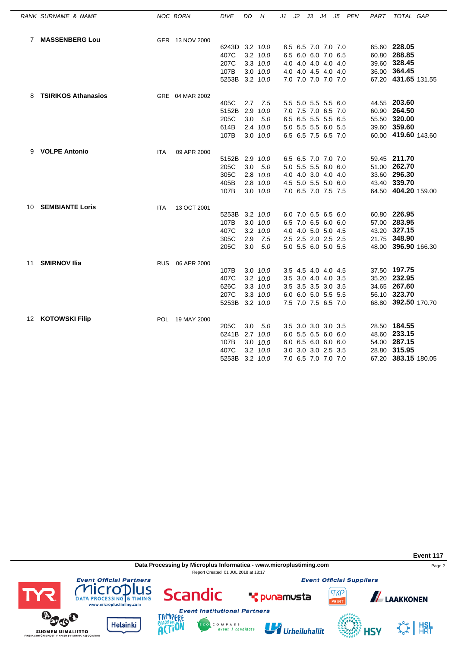|    | RANK SURNAME & NAME        |            | <b>NOC BORN</b> | <b>DIVE</b>    | DD  | Н                | J1 | J2 | J3 J4 J5 PEN        |  | PART | TOTAL GAP           |  |
|----|----------------------------|------------|-----------------|----------------|-----|------------------|----|----|---------------------|--|------|---------------------|--|
|    | 7 MASSENBERG Lou           |            | GER 13 NOV 2000 |                |     |                  |    |    |                     |  |      |                     |  |
|    |                            |            |                 | 6243D          |     | $3.2$ $10.0$     |    |    | 6.5 6.5 7.0 7.0 7.0 |  |      | 65.60 228.05        |  |
|    |                            |            |                 | 407C           |     | 3.2 10.0         |    |    | 6.5 6.0 6.0 7.0 6.5 |  |      | 60.80 288.85        |  |
|    |                            |            |                 | 207C           |     | 3.3 10.0         |    |    | 4.0 4.0 4.0 4.0 4.0 |  |      | 39.60 328.45        |  |
|    |                            |            |                 | 107B           |     | $3.0$ $10.0$     |    |    | 4.0 4.0 4.5 4.0 4.0 |  |      | 36.00 364.45        |  |
|    |                            |            |                 | 5253B 3.2 10.0 |     |                  |    |    | 7.0 7.0 7.0 7.0 7.0 |  |      | 67.20 431.65 131.55 |  |
| 8  | <b>TSIRIKOS Athanasios</b> |            | GRE 04 MAR 2002 |                |     |                  |    |    |                     |  |      |                     |  |
|    |                            |            |                 | 405C           | 2.7 | 7.5              |    |    | 5.5 5.0 5.5 5.5 6.0 |  |      | 44.55 203.60        |  |
|    |                            |            |                 | 5152B          | 2.9 | 10.0             |    |    | 7.0 7.5 7.0 6.5 7.0 |  |      | 60.90 264.50        |  |
|    |                            |            |                 | 205C           | 3.0 | 5.0              |    |    | 6.5 6.5 5.5 5.5 6.5 |  |      | 55.50 320.00        |  |
|    |                            |            |                 | 614B           |     | 2.4 10.0         |    |    | 5.0 5.5 5.5 6.0 5.5 |  |      | 39.60 359.60        |  |
|    |                            |            |                 | 107B           |     | $3.0$ $10.0$     |    |    | 6.5 6.5 7.5 6.5 7.0 |  |      | 60.00 419.60 143.60 |  |
| 9  | <b>VOLPE Antonio</b>       | <b>ITA</b> | 09 APR 2000     |                |     |                  |    |    |                     |  |      |                     |  |
|    |                            |            |                 | 5152B          |     | 2.9 10.0         |    |    | 6.5 6.5 7.0 7.0 7.0 |  |      | 59.45 211.70        |  |
|    |                            |            |                 | 205C           | 3.0 | 5.0              |    |    | 5.0 5.5 5.5 6.0 6.0 |  |      | 51.00 262.70        |  |
|    |                            |            |                 | 305C           |     | $2.8$ $10.0$     |    |    | 4.0 4.0 3.0 4.0 4.0 |  |      | 33.60 296.30        |  |
|    |                            |            |                 | 405B           |     | 2.8 10.0         |    |    | 4.5 5.0 5.5 5.0 6.0 |  |      | 43.40 339.70        |  |
|    |                            |            |                 | 107B           |     | $3.0$ $10.0$     |    |    | 7.0 6.5 7.0 7.5 7.5 |  |      | 64.50 404.20 159.00 |  |
| 10 | <b>SEMBIANTE Loris</b>     | <b>ITA</b> | 13 OCT 2001     |                |     |                  |    |    |                     |  |      |                     |  |
|    |                            |            |                 | 5253B          |     | $3.2 \quad 10.0$ |    |    | 6.0 7.0 6.5 6.5 6.0 |  |      | 60.80 226.95        |  |
|    |                            |            |                 | 107B           |     | 3.0 10.0         |    |    | 6.5 7.0 6.5 6.0 6.0 |  |      | 57.00 283.95        |  |
|    |                            |            |                 | 407C           |     | 3.2 10.0         |    |    | 4.0 4.0 5.0 5.0 4.5 |  |      | 43.20 327.15        |  |
|    |                            |            |                 | 305C           | 2.9 | 7.5              |    |    | 2.5 2.5 2.0 2.5 2.5 |  |      | 21.75 348.90        |  |
|    |                            |            |                 | 205C           | 3.0 | 5.0              |    |    | 5.0 5.5 6.0 5.0 5.5 |  |      | 48.00 396.90 166.30 |  |
| 11 | <b>SMIRNOV IIia</b>        | <b>RUS</b> | 06 APR 2000     |                |     |                  |    |    |                     |  |      |                     |  |
|    |                            |            |                 | 107B           |     | $3.0$ $10.0$     |    |    | 3.5 4.5 4.0 4.0 4.5 |  |      | 37.50 197.75        |  |
|    |                            |            |                 | 407C           |     | $3.2$ $10.0$     |    |    | 3.5 3.0 4.0 4.0 3.5 |  |      | 35.20 232.95        |  |
|    |                            |            |                 | 626C           |     | 3.3 10.0         |    |    | 3.5 3.5 3.5 3.0 3.5 |  |      | 34.65 267.60        |  |
|    |                            |            |                 | 207C           |     | $3.3$ $10.0$     |    |    | 6.0 6.0 5.0 5.5 5.5 |  |      | 56.10 323.70        |  |
|    |                            |            |                 | 5253B 3.2 10.0 |     |                  |    |    | 7.5 7.0 7.5 6.5 7.0 |  |      | 68.80 392.50 170.70 |  |
| 12 | <b>KOTOWSKI Filip</b>      |            | POL 19 MAY 2000 |                |     |                  |    |    |                     |  |      |                     |  |
|    |                            |            |                 | 205C           | 3.0 | 5.0              |    |    | 3.5 3.0 3.0 3.0 3.5 |  |      | 28.50 184.55        |  |
|    |                            |            |                 | 6241B          |     | $2.7$ $10.0$     |    |    | 6.0 5.5 6.5 6.0 6.0 |  |      | 48.60 233.15        |  |
|    |                            |            |                 | 107B           |     | $3.0$ $10.0$     |    |    | 6.0 6.5 6.0 6.0 6.0 |  |      | 54.00 287.15        |  |
|    |                            |            |                 | 407C           |     | 3.2 10.0         |    |    | 3.0 3.0 3.0 2.5 3.5 |  |      | 28.80 315.95        |  |
|    |                            |            |                 | 5253B 3.2 10.0 |     |                  |    |    | 7.0 6.5 7.0 7.0 7.0 |  |      | 67.20 383.15 180.05 |  |

**Data Processing by Microplus Informatica - www.microplustiming.com** Page 2 Report Created 01 JUL 2018 at 18:17

**Event Institutional Partners** 

C O M P A S S<br>event | candidate

**Scandic** 

TAMP ERE

**ACTION** 

**Event 117**

**ALAAKKONEN** 

**HSY** 

**Event Official Suppliers** 

**TKP** 





**T** punamusta

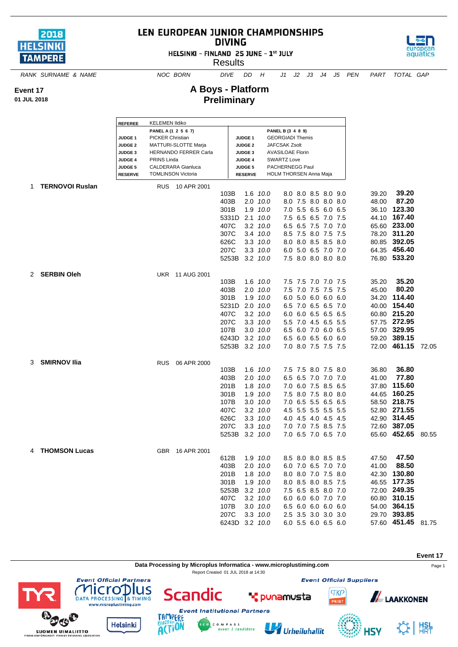

**Event 17 01 JUL 2018**

## LEN EUROPEAN JUNIOR CHAMPIONSHIPS **DIVING**

HELSINKI - FINLAND 25 JUNE - 1st JULY

**Results** 



*RANK SURNAME & NAME NOC BORN DIVE DD H J1 J2 J3 J4 J5 PEN PART TOTAL GAP*

**A Boys - Platform**

**Preliminary**

|   |                        | <b>REFEREE</b>     | <b>KELEMEN Ildiko</b><br>PANEL A (1 2 5 6 7)            |                           |                | PANEL B (3 4 8 9)  |              |                               |                     |  |  |       |                    |       |
|---|------------------------|--------------------|---------------------------------------------------------|---------------------------|----------------|--------------------|--------------|-------------------------------|---------------------|--|--|-------|--------------------|-------|
|   |                        | JUDGE <sub>1</sub> | <b>PICKER Christian</b>                                 |                           |                | JUDGE <sub>1</sub> |              | <b>GEORGIADI Themis</b>       |                     |  |  |       |                    |       |
|   |                        | <b>JUDGE 2</b>     | MATTURI-SLOTTE Marja<br>JAFCSAK Zsolt<br><b>JUDGE 2</b> |                           |                |                    |              |                               |                     |  |  |       |                    |       |
|   |                        | <b>JUDGE 3</b>     |                                                         | HERNANDO FERRER Carla     |                | <b>JUDGE 3</b>     |              | <b>AVASILOAE Florin</b>       |                     |  |  |       |                    |       |
|   |                        | <b>JUDGE 4</b>     | PRINS Linda                                             |                           |                | <b>JUDGE 4</b>     |              | <b>SWARTZ Love</b>            |                     |  |  |       |                    |       |
|   |                        | <b>JUDGE 5</b>     |                                                         | <b>CALDERARA Gianluca</b> |                | <b>JUDGE 5</b>     |              | PACHERNEGG Paul               |                     |  |  |       |                    |       |
|   |                        | <b>RESERVE</b>     |                                                         | <b>TOMLINSON Victoria</b> |                | <b>RESERVE</b>     |              | <b>HOLM THORSEN Anna Maja</b> |                     |  |  |       |                    |       |
| 1 | <b>TERNOVOI Ruslan</b> |                    |                                                         | RUS 10 APR 2001           |                |                    |              |                               |                     |  |  |       |                    |       |
|   |                        |                    |                                                         |                           | 103B           |                    | 1.6 10.0     |                               | 8.0 8.0 8.5 8.0 9.0 |  |  | 39.20 | 39.20              |       |
|   |                        |                    |                                                         |                           | 403B           |                    | $2.0$ $10.0$ |                               | 8.0 7.5 8.0 8.0 8.0 |  |  | 48.00 | 87.20              |       |
|   |                        |                    |                                                         |                           | 301B           |                    | 1.9 10.0     |                               | 7.0 5.5 6.5 6.0 6.5 |  |  | 36.10 | 123.30             |       |
|   |                        |                    |                                                         |                           | 5331D          |                    | $2.1$ $10.0$ |                               | 7.5 6.5 6.5 7.0 7.5 |  |  |       | 44.10 167.40       |       |
|   |                        |                    |                                                         |                           | 407C           |                    | $3.2$ $10.0$ |                               | 6.5 6.5 7.5 7.0 7.0 |  |  |       | 65.60 233.00       |       |
|   |                        |                    |                                                         |                           | 307C           |                    | 3.4 10.0     |                               | 8.5 7.5 8.0 7.5 7.5 |  |  |       | 78.20 311.20       |       |
|   |                        |                    |                                                         |                           | 626C           |                    | $3.3$ $10.0$ |                               | 8.0 8.0 8.5 8.5 8.0 |  |  |       | 80.85 392.05       |       |
|   |                        |                    |                                                         |                           | 207C           |                    | $3.3$ $10.0$ |                               | 6.0 5.0 6.5 7.0 7.0 |  |  |       | 64.35 456.40       |       |
|   |                        |                    |                                                         |                           | 5253B 3.2 10.0 |                    |              |                               | 7.5 8.0 8.0 8.0 8.0 |  |  |       | 76.80 533.20       |       |
| 2 | <b>SERBIN Oleh</b>     |                    |                                                         | <b>UKR 11 AUG 2001</b>    |                |                    |              |                               |                     |  |  |       |                    |       |
|   |                        |                    |                                                         |                           | 103B           |                    | 1.6 10.0     |                               | 7.5 7.5 7.0 7.0 7.5 |  |  | 35.20 | 35.20              |       |
|   |                        |                    |                                                         |                           | 403B           |                    | $2.0$ $10.0$ | 7.5                           | 7.0 7.5 7.5 7.5     |  |  | 45.00 | 80.20              |       |
|   |                        |                    |                                                         |                           | 301B           |                    | 1.9 10.0     |                               | 6.0 5.0 6.0 6.0 6.0 |  |  | 34.20 | 114.40             |       |
|   |                        |                    |                                                         |                           | 5231D          |                    | 2.0 10.0     |                               | 6.5 7.0 6.5 6.5 7.0 |  |  |       | 40.00 154.40       |       |
|   |                        |                    |                                                         |                           | 407C           |                    | $3.2$ $10.0$ | 6.0                           | 6.0 6.5 6.5 6.5     |  |  |       | 60.80 215.20       |       |
|   |                        |                    |                                                         |                           | 207C           |                    | $3.3$ $10.0$ |                               | 5.5 7.0 4.5 6.5 5.5 |  |  |       | 57.75 272.95       |       |
|   |                        |                    |                                                         |                           | 107B           |                    | $3.0$ $10.0$ |                               | 6.5 6.0 7.0 6.0 6.5 |  |  |       | 57.00 329.95       |       |
|   |                        |                    |                                                         |                           | 6243D          |                    | 3.2 10.0     |                               | 6.5 6.0 6.5 6.0 6.0 |  |  | 59.20 | 389.15             |       |
|   |                        |                    |                                                         |                           | 5253B 3.2 10.0 |                    |              |                               | 7.0 8.0 7.5 7.5 7.5 |  |  |       | 72.00 461.15       | 72.05 |
|   | <b>SMIRNOV IIia</b>    |                    | <b>RUS</b>                                              | 06 APR 2000               |                |                    |              |                               |                     |  |  |       |                    |       |
|   |                        |                    |                                                         |                           | 103B           |                    | 1.6 10.0     |                               | 7.5 7.5 8.0 7.5 8.0 |  |  | 36.80 | 36.80              |       |
|   |                        |                    |                                                         |                           | 403B           |                    | $2.0$ $10.0$ |                               | 6.5 6.5 7.0 7.0 7.0 |  |  | 41.00 | 77.80              |       |
|   |                        |                    |                                                         |                           | 201B           |                    | 1.8 10.0     |                               | 7.0 6.0 7.5 8.5 6.5 |  |  | 37.80 | 115.60             |       |
|   |                        |                    |                                                         |                           | 301B           |                    | 1.9 10.0     |                               | 7.5 8.0 7.5 8.0 8.0 |  |  | 44.65 | 160.25             |       |
|   |                        |                    |                                                         |                           | 107B           |                    | $3.0$ $10.0$ |                               | 7.0 6.5 5.5 6.5 6.5 |  |  |       | 58.50 218.75       |       |
|   |                        |                    |                                                         |                           | 407C           |                    | $3.2$ $10.0$ |                               | 4.5 5.5 5.5 5.5 5.5 |  |  |       | 52.80 271.55       |       |
|   |                        |                    |                                                         |                           | 626C           |                    | $3.3$ $10.0$ |                               | 4.0 4.5 4.0 4.5 4.5 |  |  |       | 42.90 314.45       |       |
|   |                        |                    |                                                         |                           | 207C           |                    | $3.3$ $10.0$ |                               | 7.0 7.0 7.5 8.5 7.5 |  |  |       | 72.60 387.05       |       |
|   |                        |                    |                                                         |                           | 5253B          |                    | $3.2$ $10.0$ |                               | 7.0 6.5 7.0 6.5 7.0 |  |  |       | 65.60 452.65       | 80.55 |
|   | 4 THOMSON Lucas        |                    |                                                         |                           |                |                    |              |                               |                     |  |  |       |                    |       |
|   |                        |                    |                                                         | GBR 16 APR 2001           | 612B           |                    | 1.9 10.0     |                               | 8.5 8.0 8.0 8.5 8.5 |  |  |       | 47.50 47.50        |       |
|   |                        |                    |                                                         |                           | 403B           |                    | 2.0 10.0     |                               | 6.0 7.0 6.5 7.0 7.0 |  |  | 41.00 | 88.50              |       |
|   |                        |                    |                                                         |                           | 201B           |                    | 1.8 10.0     |                               | 8.0 8.0 7.0 7.5 8.0 |  |  |       | 42.30 130.80       |       |
|   |                        |                    |                                                         |                           | 301B           |                    | 1.9 10.0     |                               | 8.0 8.5 8.0 8.5 7.5 |  |  |       | 46.55 177.35       |       |
|   |                        |                    |                                                         |                           | 5253B 3.2 10.0 |                    |              |                               | 7.5 6.5 8.5 8.0 7.0 |  |  |       | 72.00 249.35       |       |
|   |                        |                    |                                                         |                           | 407C           |                    | 3.2 10.0     |                               | 6.0 6.0 6.0 7.0 7.0 |  |  |       | 60.80 310.15       |       |
|   |                        |                    |                                                         |                           | 107B           |                    | 3.0 10.0     |                               | 6.5 6.0 6.0 6.0 6.0 |  |  |       | 54.00 364.15       |       |
|   |                        |                    |                                                         |                           | 207C           |                    | 3.3 10.0     |                               | 2.5 3.5 3.0 3.0 3.0 |  |  |       | 29.70 393.85       |       |
|   |                        |                    |                                                         |                           | 6243D 3.2 10.0 |                    |              |                               | 6.0 5.5 6.0 6.5 6.0 |  |  |       | 57.60 451.45 81.75 |       |

**Data Processing by Microplus Informatica - www.microplustiming.com** Page 1

C O M P A S S<br>event | candidate

Report Created 01 JUL 2018 at 14:30





**Helsinki** 



Scandic



**\*** punamusta

**Event Official Suppliers** 

**TKP** 

PRINT



 $\frac{1}{2}$  | HSL

LAAKKONEN

**NPI**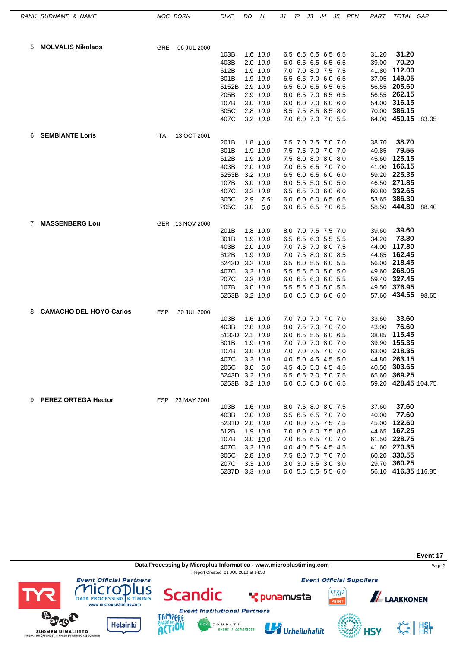|   | RANK SURNAME & NAME            |            | NOC BORN        | <b>DIVE</b>    | DD  | Η                              | J1 | J2 | JЗ | J4                                         | J5 | PEN | PART           | TOTAL GAP                    |       |
|---|--------------------------------|------------|-----------------|----------------|-----|--------------------------------|----|----|----|--------------------------------------------|----|-----|----------------|------------------------------|-------|
|   |                                |            |                 |                |     |                                |    |    |    |                                            |    |     |                |                              |       |
| 5 | <b>MOLVALIS Nikolaos</b>       | GRE        | 06 JUL 2000     | 103B           |     | 1.6 10.0                       |    |    |    | 6.5 6.5 6.5 6.5 6.5                        |    |     | 31.20          | 31.20                        |       |
|   |                                |            |                 | 403B           |     | 2.0 10.0                       |    |    |    | 6.0 6.5 6.5 6.5 6.5                        |    |     | 39.00          | 70.20                        |       |
|   |                                |            |                 | 612B           |     | 1.9 10.0                       |    |    |    | 7.0 7.0 8.0 7.5 7.5                        |    |     | 41.80          | 112.00                       |       |
|   |                                |            |                 | 301B           |     | 1.9 10.0                       |    |    |    | 6.5 6.5 7.0 6.0 6.5                        |    |     |                | 37.05 149.05                 |       |
|   |                                |            |                 | 5152B          |     | 2.9 10.0                       |    |    |    | 6.5 6.0 6.5 6.5 6.5                        |    |     |                | 56.55 205.60                 |       |
|   |                                |            |                 | 205B           |     | $2.9$ $10.0$                   |    |    |    | 6.0 6.5 7.0 6.5 6.5                        |    |     |                | 56.55 262.15                 |       |
|   |                                |            |                 | 107B           |     | 3.0 10.0                       |    |    |    | 6.0 6.0 7.0 6.0 6.0                        |    |     | 54.00          | 316.15                       |       |
|   |                                |            |                 | 305C           |     | $2.8$ 10.0                     |    |    |    | 8.5 7.5 8.5 8.5 8.0                        |    |     |                | 70.00 386.15                 |       |
|   |                                |            |                 | 407C           |     | 3.2 10.0                       |    |    |    | 7.0 6.0 7.0 7.0 5.5                        |    |     |                | 64.00 450.15 83.05           |       |
| 6 | <b>SEMBIANTE Loris</b>         | <b>ITA</b> | 13 OCT 2001     |                |     |                                |    |    |    |                                            |    |     |                |                              |       |
|   |                                |            |                 | 201B<br>301B   |     | 1.8 10.0<br>1.9 10.0           |    |    |    | 7.5 7.0 7.5 7.0 7.0<br>7.5 7.5 7.0 7.0 7.0 |    |     | 38.70<br>40.85 | 38.70<br>79.55               |       |
|   |                                |            |                 | 612B           |     | 1.9 10.0                       |    |    |    | 7.5 8.0 8.0 8.0 8.0                        |    |     | 45.60          | 125.15                       |       |
|   |                                |            |                 | 403B           |     | $2.0$ $10.0$                   |    |    |    | 7.0 6.5 6.5 7.0 7.0                        |    |     | 41.00          | 166.15                       |       |
|   |                                |            |                 | 5253B          |     | $3.2$ $10.0$                   |    |    |    | 6.5 6.0 6.5 6.0 6.0                        |    |     |                | 59.20 225.35                 |       |
|   |                                |            |                 | 107B           |     | $3.0$ $10.0$                   |    |    |    | 6.0 5.5 5.0 5.0 5.0                        |    |     |                | 46.50 271.85                 |       |
|   |                                |            |                 | 407C           |     | 3.2 10.0                       |    |    |    | 6.5 6.5 7.0 6.0 6.0                        |    |     |                | 60.80 332.65                 |       |
|   |                                |            |                 | 305C           | 2.9 | 7.5                            |    |    |    | 6.0 6.0 6.0 6.5 6.5                        |    |     |                | 53.65 386.30                 |       |
|   |                                |            |                 | 205C           | 3.0 | 5.0                            |    |    |    | 6.0 6.5 6.5 7.0 6.5                        |    |     |                | 58.50 444.80                 | 88.40 |
| 7 | <b>MASSENBERG Lou</b>          |            | GER 13 NOV 2000 |                |     |                                |    |    |    |                                            |    |     |                |                              |       |
|   |                                |            |                 | 201B           |     | 1.8 10.0                       |    |    |    | 8.0 7.0 7.5 7.5 7.0                        |    |     | 39.60          | 39.60                        |       |
|   |                                |            |                 | 301B           |     | 1.9 10.0                       |    |    |    | 6.5 6.5 6.0 5.5 5.5                        |    |     | 34.20          | 73.80                        |       |
|   |                                |            |                 | 403B<br>612B   |     | 2.0 10.0<br>1.9 10.0           |    |    |    | 7.0 7.5 7.0 8.0 7.5<br>7.0 7.5 8.0 8.0 8.5 |    |     | 44.00          | 117.80<br>162.45             |       |
|   |                                |            |                 | 6243D          |     | $3.2$ $10.0$                   |    |    |    | 6.5 6.0 5.5 6.0 5.5                        |    |     | 44.65          | 56.00 218.45                 |       |
|   |                                |            |                 | 407C           |     | $3.2$ $10.0$                   |    |    |    | 5.5 5.5 5.0 5.0 5.0                        |    |     |                | 49.60 268.05                 |       |
|   |                                |            |                 | 207C           |     | 3.3 10.0                       |    |    |    | 6.0 6.5 6.0 6.0 5.5                        |    |     |                | 59.40 327.45                 |       |
|   |                                |            |                 | 107B           |     | 3.0 10.0                       |    |    |    | 5.5 5.5 6.0 5.0 5.5                        |    |     |                | 49.50 376.95                 |       |
|   |                                |            |                 | 5253B 3.2 10.0 |     |                                |    |    |    | 6.0 6.5 6.0 6.0 6.0                        |    |     |                | 57.60 434.55                 | 98.65 |
| 8 | <b>CAMACHO DEL HOYO Carlos</b> | ESP        | 30 JUL 2000     |                |     |                                |    |    |    |                                            |    |     |                |                              |       |
|   |                                |            |                 | 103B           |     | 1.6 10.0                       |    |    |    | 7.0 7.0 7.0 7.0 7.0                        |    |     | 33.60          | 33.60                        |       |
|   |                                |            |                 | 403B           |     | $2.0$ 10.0                     |    |    |    | 8.0 7.5 7.0 7.0 7.0                        |    |     | 43.00          | 76.60                        |       |
|   |                                |            |                 | 5132D          |     | $2.1$ $10.0$                   |    |    |    | 6.0 6.5 5.5 6.0 6.5                        |    |     | 38.85          | 115.45                       |       |
|   |                                |            |                 | 301B           |     | $1.9$ $10.0$                   |    |    |    | 7.0 7.0 7.0 8.0 7.0<br>7.0 7.0 7.5 7.0 7.0 |    |     | 39.90          | 155.35                       |       |
|   |                                |            |                 | 107B           |     | $3.0$ $10.0$                   |    |    |    |                                            |    |     |                | 63.00 218.35                 |       |
|   |                                |            |                 | 407C<br>205C   |     | $3.2$ $10.0$<br>$3.0\quad 5.0$ |    |    |    | 4.0 5.0 4.5 4.5 5.0<br>4.5 4.5 5.0 4.5 4.5 |    |     |                | 44.80 263.15<br>40.50 303.65 |       |
|   |                                |            |                 | 6243D 3.2 10.0 |     |                                |    |    |    | 6.5 6.5 7.0 7.0 7.5                        |    |     |                | 65.60 369.25                 |       |
|   |                                |            |                 | 5253B 3.2 10.0 |     |                                |    |    |    | 6.0 6.5 6.0 6.0 6.5                        |    |     |                | 59.20 428.45 104.75          |       |
|   | 9 PEREZ ORTEGA Hector          |            | ESP 23 MAY 2001 |                |     |                                |    |    |    |                                            |    |     |                |                              |       |
|   |                                |            |                 | 103B           |     | 1.6 10.0                       |    |    |    | 8.0 7.5 8.0 8.0 7.5                        |    |     | 37.60          | 37.60                        |       |
|   |                                |            |                 | 403B           |     | 2.0 10.0                       |    |    |    | 6.5 6.5 6.5 7.0 7.0                        |    |     | 40.00          | 77.60                        |       |
|   |                                |            |                 | 5231D          |     | 2.0 10.0                       |    |    |    | 7.0 8.0 7.5 7.5 7.5                        |    |     |                | 45.00 122.60                 |       |
|   |                                |            |                 | 612B           |     | 1.9 10.0                       |    |    |    | 7.0 8.0 8.0 7.5 8.0                        |    |     |                | 44.65 167.25                 |       |
|   |                                |            |                 | 107B           |     | 3.0 10.0                       |    |    |    | 7.0 6.5 6.5 7.0 7.0                        |    |     |                | 61.50 228.75                 |       |
|   |                                |            |                 | 407C           |     | 3.2 10.0                       |    |    |    | 4.0 4.0 5.5 4.5 4.5                        |    |     |                | 41.60 270.35                 |       |
|   |                                |            |                 | 305C<br>207C   |     | $2.8$ $10.0$<br>3.3 10.0       |    |    |    | 7.5 8.0 7.0 7.0 7.0<br>3.0 3.0 3.5 3.0 3.0 |    |     |                | 60.20 330.55<br>29.70 360.25 |       |
|   |                                |            |                 | 5237D 3.3 10.0 |     |                                |    |    |    | 6.0 5.5 5.5 5.5 6.0                        |    |     |                | 56.10 416.35 116.85          |       |
|   |                                |            |                 |                |     |                                |    |    |    |                                            |    |     |                |                              |       |

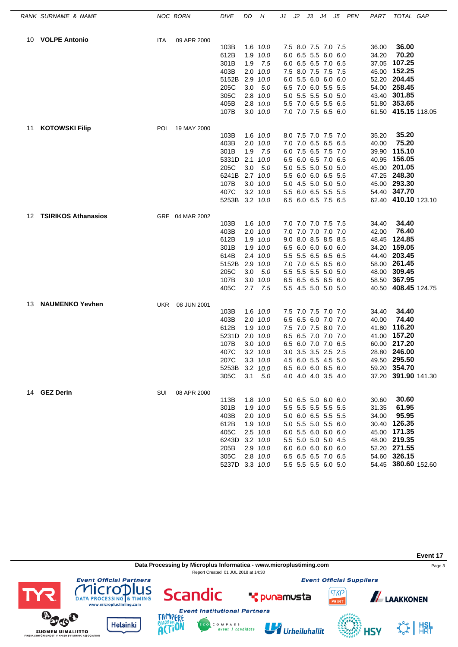|     | RANK SURNAME & NAME        |            | NOC BORN        | <b>DIVE</b>    | DD  | Н                    | J1  | J2 | JЗ                                         | J4 | J5 | <b>PEN</b> | PART           | TOTAL GAP           |  |
|-----|----------------------------|------------|-----------------|----------------|-----|----------------------|-----|----|--------------------------------------------|----|----|------------|----------------|---------------------|--|
| 10  | <b>VOLPE Antonio</b>       | ITA        | 09 APR 2000     |                |     |                      |     |    |                                            |    |    |            |                |                     |  |
|     |                            |            |                 | 103B           |     | 1.6 10.0             |     |    | 7.5 8.0 7.5 7.0 7.5                        |    |    |            | 36.00          | 36.00               |  |
|     |                            |            |                 | 612B           |     | 1.9 10.0             |     |    | 6.0 6.5 5.5 6.0 6.0                        |    |    |            | 34.20          | 70.20               |  |
|     |                            |            |                 | 301B           | 1.9 | - 7.5                |     |    | 6.0 6.5 6.5 7.0 6.5                        |    |    |            |                | 37.05 107.25        |  |
|     |                            |            |                 | 403B           |     | 2.0 10.0             |     |    | 7.5 8.0 7.5 7.5 7.5                        |    |    |            |                | 45.00 152.25        |  |
|     |                            |            |                 | 5152B          |     | 2.9 10.0             |     |    | 6.0 5.5 6.0 6.0 6.0                        |    |    |            |                | 52.20 204.45        |  |
|     |                            |            |                 | 205C           | 3.0 | 5.0                  |     |    | 6.5 7.0 6.0 5.5 5.5                        |    |    |            |                | 54.00 258.45        |  |
|     |                            |            |                 | 305C           |     | 2.8 10.0             |     |    | 5.0 5.5 5.5 5.0 5.0                        |    |    |            |                | 43.40 301.85        |  |
|     |                            |            |                 | 405B           |     | 2.8 10.0             |     |    | 5.5 7.0 6.5 5.5 6.5                        |    |    |            |                | 51.80 353.65        |  |
|     |                            |            |                 | 107B           |     | $3.0$ $10.0$         |     |    | 7.0 7.0 7.5 6.5 6.0                        |    |    |            |                | 61.50 415.15 118.05 |  |
| 11  | <b>KOTOWSKI Filip</b>      |            | POL 19 MAY 2000 |                |     |                      |     |    |                                            |    |    |            |                |                     |  |
|     |                            |            |                 | 103B           |     | 1.6 10.0             |     |    | 8.0 7.5 7.0 7.5 7.0                        |    |    |            | 35.20          | 35.20               |  |
|     |                            |            |                 | 403B           | 2.0 | 10.0                 |     |    | 7.0 7.0 6.5 6.5 6.5                        |    |    |            | 40.00          | 75.20               |  |
|     |                            |            |                 | 301B           | 1.9 | 7.5                  |     |    | 6.0 7.5 6.5 7.5 7.0                        |    |    |            |                | 39.90 115.10        |  |
|     |                            |            |                 | 5331D          | 2.1 | 10.0                 |     |    | 6.5 6.0 6.5 7.0 6.5                        |    |    |            | 40.95          | 156.05              |  |
|     |                            |            |                 | 205C           | 3.0 | 5.0                  |     |    | 5.0 5.5 5.0 5.0 5.0                        |    |    |            |                | 45.00 201.05        |  |
|     |                            |            |                 | 6241B          |     | 2.7 10.0             |     |    | 5.5 6.0 6.0 6.5 5.5                        |    |    |            |                | 47.25 248.30        |  |
|     |                            |            |                 | 107B           |     | 3.0 10.0             |     |    | 5.0 4.5 5.0 5.0 5.0                        |    |    |            |                | 45.00 293.30        |  |
|     |                            |            |                 | 407C           |     | 3.2 10.0             |     |    | 5.5 6.0 6.5 5.5 5.5                        |    |    |            |                | 54.40 347.70        |  |
|     |                            |            |                 | 5253B          |     | $3.2$ $10.0$         |     |    | 6.5 6.0 6.5 7.5 6.5                        |    |    |            |                | 62.40 410.10 123.10 |  |
| 12  | <b>TSIRIKOS Athanasios</b> |            | GRE 04 MAR 2002 |                |     |                      |     |    |                                            |    |    |            |                | 34.40               |  |
|     |                            |            |                 | 103B           |     | 1.6 10.0             |     |    | 7.0 7.0 7.0 7.5 7.5<br>7.0 7.0 7.0 7.0 7.0 |    |    |            | 34.40<br>42.00 | 76.40               |  |
|     |                            |            |                 | 403B<br>612B   |     | 2.0 10.0<br>1.9 10.0 |     |    | 9.0 8.0 8.5 8.5 8.5                        |    |    |            |                | 48.45 124.85        |  |
|     |                            |            |                 | 301B           |     | 1.9 10.0             |     |    | 6.5 6.0 6.0 6.0 6.0                        |    |    |            |                | 34.20 159.05        |  |
|     |                            |            |                 | 614B           |     | 2.4 10.0             |     |    | 5.5 5.5 6.5 6.5 6.5                        |    |    |            |                | 44.40 203.45        |  |
|     |                            |            |                 | 5152B          |     | 2.9 10.0             |     |    | 7.0 7.0 6.5 6.5 6.0                        |    |    |            |                | 58.00 261.45        |  |
|     |                            |            |                 | 205C           | 3.0 | 5.0                  |     |    | 5.5 5.5 5.5 5.0 5.0                        |    |    |            |                | 48.00 309.45        |  |
|     |                            |            |                 | 107B           | 3.0 | 10.0                 |     |    | 6.5 6.5 6.5 6.5 6.0                        |    |    |            |                | 58.50 367.95        |  |
|     |                            |            |                 | 405C           | 2.7 | 7.5                  |     |    | 5.5 4.5 5.0 5.0 5.0                        |    |    |            |                | 40.50 408.45 124.75 |  |
| 13. | <b>NAUMENKO Yevhen</b>     | <b>UKR</b> | 08 JUN 2001     |                |     |                      |     |    |                                            |    |    |            |                |                     |  |
|     |                            |            |                 | 103B           |     | 1.6 10.0             |     |    | 7.5 7.0 7.5 7.0 7.0                        |    |    |            | 34.40          | 34.40               |  |
|     |                            |            |                 | 403B           |     | $2.0$ $10.0$         | 6.5 |    | 6.5 6.0 7.0 7.0                            |    |    |            | 40.00          | 74.40               |  |
|     |                            |            |                 | 612B           |     | 1.9 10.0             |     |    | 7.5 7.0 7.5 8.0 7.0                        |    |    |            |                | 41.80 116.20        |  |
|     |                            |            |                 | 5231D          |     | $2.0$ $10.0$         |     |    | 6.5 6.5 7.0 7.0 7.0                        |    |    |            |                | 41.00 157.20        |  |
|     |                            |            |                 | 107B           |     | $3.0$ $10.0$         |     |    | 6.5 6.0 7.0 7.0 6.5                        |    |    |            |                | 60.00 217.20        |  |
|     |                            |            |                 | 407C           |     | 3.2 10.0             |     |    | 3.0 3.5 3.5 2.5 2.5                        |    |    |            |                | 28.80 246.00        |  |
|     |                            |            |                 | 207C           |     | 3.3 10.0             |     |    | 4.5 6.0 5.5 4.5 5.0                        |    |    |            |                | 49.50 295.50        |  |
|     |                            |            |                 | 5253B 3.2 10.0 |     |                      |     |    | 6.5 6.0 6.0 6.5 6.0                        |    |    |            |                | 59.20 354.70        |  |
|     |                            |            |                 | 305C           |     | $3.1 \quad 5.0$      |     |    | 4.0 4.0 4.0 3.5 4.0                        |    |    |            |                | 37.20 391.90 141.30 |  |
|     | 14 GEZ Derin               | SUI        | 08 APR 2000     |                |     |                      |     |    |                                            |    |    |            |                |                     |  |
|     |                            |            |                 | 113B           |     | 1.8 10.0             |     |    | 5.0 6.5 5.0 6.0 6.0                        |    |    |            | 30.60          | 30.60               |  |
|     |                            |            |                 | 301B           |     | 1.9 10.0             |     |    | 5.5 5.5 5.5 5.5 5.5                        |    |    |            | 31.35          | 61.95               |  |
|     |                            |            |                 | 403B           |     | $2.0$ $10.0$         |     |    | 5.0 6.0 6.5 5.5 5.5                        |    |    |            | 34.00          | 95.95               |  |
|     |                            |            |                 | 612B           |     | 1.9 10.0             |     |    | 5.0 5.5 5.0 5.5 6.0                        |    |    |            |                | 30.40 126.35        |  |
|     |                            |            |                 | 405C           |     | $2.5$ 10.0           |     |    | 6.0 5.5 6.0 6.0 6.0                        |    |    |            |                | 45.00 171.35        |  |
|     |                            |            |                 | 6243D          |     | 3.2 10.0             |     |    | 5.5 5.0 5.0 5.0 4.5                        |    |    |            |                | 48.00 219.35        |  |
|     |                            |            |                 | 205B           |     | $2.9$ $10.0$         |     |    | 6.0 6.0 6.0 6.0 6.0                        |    |    |            |                | 52.20 271.55        |  |
|     |                            |            |                 | 305C           |     | 2.8 10.0             |     |    | 6.5 6.5 6.5 7.0 6.5                        |    |    |            |                | 54.60 326.15        |  |
|     |                            |            |                 | 5237D 3.3 10.0 |     |                      |     |    | 5.5 5.5 5.5 6.0 5.0                        |    |    |            |                | 54.45 380.60 152.60 |  |

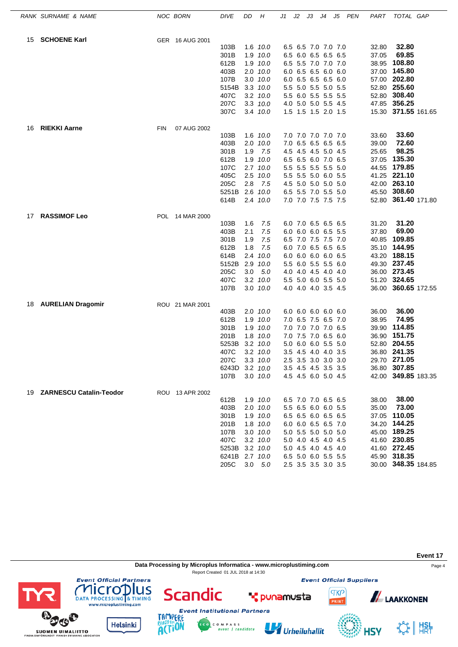|    | RANK SURNAME & NAME        |            | NOC BORN        | <b>DIVE</b>    | DD  | Н              | J1  | J2 | JЗ                  | J4 | J5 | <b>PEN</b> | PART  | TOTAL GAP           |  |
|----|----------------------------|------------|-----------------|----------------|-----|----------------|-----|----|---------------------|----|----|------------|-------|---------------------|--|
| 15 | <b>SCHOENE Karl</b>        |            | GER 16 AUG 2001 |                |     |                |     |    |                     |    |    |            |       |                     |  |
|    |                            |            |                 | 103B           |     | 1.6 10.0       |     |    | 6.5 6.5 7.0 7.0 7.0 |    |    |            | 32.80 | 32.80               |  |
|    |                            |            |                 | 301B           |     | 1.9 10.0       |     |    | 6.5 6.0 6.5 6.5 6.5 |    |    |            | 37.05 | 69.85               |  |
|    |                            |            |                 | 612B           |     | 1.9 10.0       |     |    | 6.5 5.5 7.0 7.0 7.0 |    |    |            |       | 38.95 108.80        |  |
|    |                            |            |                 | 403B           |     | 2.0 10.0       |     |    | 6.0 6.5 6.5 6.0 6.0 |    |    |            |       | 37.00 145.80        |  |
|    |                            |            |                 | 107B           |     | 3.0 10.0       |     |    | 6.0 6.5 6.5 6.5 6.0 |    |    |            |       | 57.00 202.80        |  |
|    |                            |            |                 | 5154B          |     | 3.3 10.0       |     |    | 5.5 5.0 5.5 5.0 5.5 |    |    |            |       | 52.80 255.60        |  |
|    |                            |            |                 | 407C           |     | 3.2 10.0       |     |    | 5.5 6.0 5.5 5.5 5.5 |    |    |            |       | 52.80 308.40        |  |
|    |                            |            |                 | 207C           |     | 3.3 10.0       |     |    | 4.0 5.0 5.0 5.5 4.5 |    |    |            |       | 47.85 356.25        |  |
|    |                            |            |                 | 307C           |     | 3.4 10.0       |     |    | 1.5 1.5 1.5 2.0 1.5 |    |    |            |       | 15.30 371.55 161.65 |  |
| 16 | <b>RIEKKI Aarne</b>        | <b>FIN</b> | 07 AUG 2002     |                |     |                |     |    |                     |    |    |            |       |                     |  |
|    |                            |            |                 | 103B           |     | 1.6 10.0       |     |    | 7.0 7.0 7.0 7.0 7.0 |    |    |            | 33.60 | 33.60               |  |
|    |                            |            |                 | 403B           | 2.0 | 10.0           |     |    | 7.0 6.5 6.5 6.5 6.5 |    |    |            | 39.00 | 72.60               |  |
|    |                            |            |                 | 301B           | 1.9 | 7.5            |     |    | 4.5 4.5 4.5 5.0 4.5 |    |    |            | 25.65 | 98.25               |  |
|    |                            |            |                 | 612B           |     | 1.9 10.0       |     |    | 6.5 6.5 6.0 7.0 6.5 |    |    |            |       | 37.05 135.30        |  |
|    |                            |            |                 | 107C           |     | $2.7$ $10.0$   | 5.5 |    | 5.5 5.5 5.5 5.0     |    |    |            | 44.55 | 179.85              |  |
|    |                            |            |                 | 405C           | 2.5 | 10.0           |     |    | 5.5 5.5 5.0 6.0 5.5 |    |    |            |       | 41.25 221.10        |  |
|    |                            |            |                 | 205C           | 2.8 | - 7.5          |     |    | 4.5 5.0 5.0 5.0 5.0 |    |    |            |       | 42.00 263.10        |  |
|    |                            |            |                 | 5251B          |     | 2.6 10.0       |     |    | 6.5 5.5 7.0 5.5 5.0 |    |    |            |       | 45.50 308.60        |  |
|    |                            |            |                 | 614B           |     | 2.4 10.0       |     |    | 7.0 7.0 7.5 7.5 7.5 |    |    |            |       | 52.80 361.40 171.80 |  |
| 17 | <b>RASSIMOF Leo</b>        |            | POL 14 MAR 2000 |                |     |                |     |    |                     |    |    |            |       |                     |  |
|    |                            |            |                 | 103B           | 1.6 | 7.5            |     |    | 6.0 7.0 6.5 6.5 6.5 |    |    |            | 31.20 | 31.20               |  |
|    |                            |            |                 | 403B           | 2.1 | 7.5            |     |    | 6.0 6.0 6.0 6.5 5.5 |    |    |            | 37.80 | 69.00               |  |
|    |                            |            |                 | 301B           | 1.9 | 7.5            |     |    | 6.5 7.0 7.5 7.5 7.0 |    |    |            | 40.85 | 109.85              |  |
|    |                            |            |                 | 612B           | 1.8 | 7.5            |     |    | 6.0 7.0 6.5 6.5 6.5 |    |    |            |       | 35.10 144.95        |  |
|    |                            |            |                 | 614B           |     | 2.4 10.0       |     |    | 6.0 6.0 6.0 6.0 6.5 |    |    |            |       | 43.20 188.15        |  |
|    |                            |            |                 | 5152B          |     | 2.9 10.0       |     |    | 5.5 6.0 5.5 5.5 6.0 |    |    |            |       | 49.30 237.45        |  |
|    |                            |            |                 | 205C           | 3.0 | 5.0            |     |    | 4.0 4.0 4.5 4.0 4.0 |    |    |            |       | 36.00 273.45        |  |
|    |                            |            |                 | 407C           |     | 3.2 10.0       |     |    | 5.5 5.0 6.0 5.5 5.0 |    |    |            |       | 51.20 324.65        |  |
|    |                            |            |                 | 107B           |     | 3.0 10.0       |     |    | 4.0 4.0 4.0 3.5 4.5 |    |    |            |       | 36.00 360.65 172.55 |  |
| 18 | <b>AURELIAN Dragomir</b>   |            | ROU 21 MAR 2001 |                |     |                |     |    |                     |    |    |            |       |                     |  |
|    |                            |            |                 | 403B           |     | 2.0 10.0       |     |    | 6.0 6.0 6.0 6.0 6.0 |    |    |            | 36.00 | 36.00               |  |
|    |                            |            |                 | 612B           | 1.9 | 10.0           |     |    | 7.0 6.5 7.5 6.5 7.0 |    |    |            | 38.95 | 74.95               |  |
|    |                            |            |                 | 301B           | 1.9 | 10.0           |     |    | 7.0 7.0 7.0 7.0 6.5 |    |    |            |       | 39.90 114.85        |  |
|    |                            |            |                 | 201B           |     | 1.8 10.0       |     |    | 7.0 7.5 7.0 6.5 6.0 |    |    |            |       | 36.90 151.75        |  |
|    |                            |            |                 | 5253B          |     | $3.2$ $10.0$   |     |    | 5.0 6.0 6.0 5.5 5.0 |    |    |            |       | 52.80 204.55        |  |
|    |                            |            |                 | 407C           |     | 3.2 10.0       |     |    | 3.5 4.5 4.0 4.0 3.5 |    |    |            |       | 36.80 241.35        |  |
|    |                            |            |                 | 207C           |     | 3.3 10.0       |     |    | 2.5 3.5 3.0 3.0 3.0 |    |    |            |       | 29.70 271.05        |  |
|    |                            |            |                 | 6243D 3.2 10.0 |     |                |     |    | 3.5 4.5 4.5 3.5 3.5 |    |    |            |       | 36.80 307.85        |  |
|    |                            |            |                 | 107B           |     | 3.0 10.0       |     |    | 4.5 4.5 6.0 5.0 4.5 |    |    |            |       | 42.00 349.85 183.35 |  |
|    | 19 ZARNESCU Catalin-Teodor |            | ROU 13 APR 2002 |                |     |                |     |    |                     |    |    |            |       |                     |  |
|    |                            |            |                 | 612B           |     | 1.9 10.0       |     |    | 6.5 7.0 7.0 6.5 6.5 |    |    |            | 38.00 | 38.00               |  |
|    |                            |            |                 | 403B           |     | $2.0$ $10.0$   |     |    | 5.5 6.5 6.0 6.0 5.5 |    |    |            | 35.00 | 73.00               |  |
|    |                            |            |                 | 301B           |     | 1.9 10.0       |     |    | 6.5 6.5 6.0 6.5 6.5 |    |    |            |       | 37.05 110.05        |  |
|    |                            |            |                 | 201B           |     | 1.8 10.0       |     |    | 6.0 6.0 6.5 6.5 7.0 |    |    |            |       | 34.20 144.25        |  |
|    |                            |            |                 | 107B           |     | 3.0 10.0       |     |    | 5.0 5.5 5.0 5.0 5.0 |    |    |            |       | 45.00 189.25        |  |
|    |                            |            |                 | 407C           |     | 3.2 10.0       |     |    | 5.0 4.0 4.5 4.0 4.5 |    |    |            |       | 41.60 230.85        |  |
|    |                            |            |                 | 5253B 3.2 10.0 |     |                |     |    | 5.0 4.5 4.0 4.5 4.0 |    |    |            |       | 41.60 272.45        |  |
|    |                            |            |                 | 6241B 2.7 10.0 |     |                |     |    | 6.5 5.0 6.0 5.5 5.5 |    |    |            |       | 45.90 318.35        |  |
|    |                            |            |                 | 205C           |     | $3.0\quad 5.0$ |     |    | 2.5 3.5 3.5 3.0 3.5 |    |    |            |       | 30.00 348.35 184.85 |  |